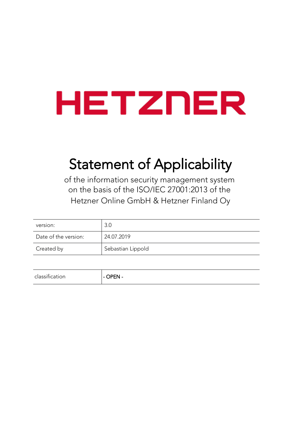# HETZNER

# Statement of Applicability

of the information security management system on the basis of the ISO/IEC 27001:2013 of the Hetzner Online GmbH & Hetzner Finland Oy

| version:             | 3.0               |
|----------------------|-------------------|
| Date of the version: | 24.07.2019        |
| Created by           | Sebastian Lippold |

| OPEN-<br>classitication |  |
|-------------------------|--|
|-------------------------|--|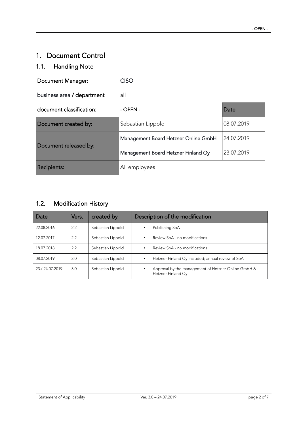# 1. Document Control

# 1.1. Handling Note

| Document Manager:          | CISO                                 |            |
|----------------------------|--------------------------------------|------------|
| business area / department | all                                  |            |
| document classification:   | $-$ OPEN $-$                         | Date       |
| Document created by:       | Sebastian Lippold                    | 08.07.2019 |
| Document released by:      | Management Board Hetzner Online GmbH | 24.07.2019 |
|                            | Management Board Hetzner Finland Oy  | 23.07.2019 |
| <b>Recipients:</b>         | All employees                        |            |

# 1.2. Modification History

| Date           | Vers. | created by        | Description of the modification                                           |
|----------------|-------|-------------------|---------------------------------------------------------------------------|
| 22.08.2016     | 2.2   | Sebastian Lippold | Publishing SoA<br>٠                                                       |
| 12.07.2017     | 2.2   | Sebastian Lippold | Review SoA - no modifications<br>٠                                        |
| 18.07.2018     | 2.2   | Sebastian Lippold | Review SoA - no modifications<br>٠                                        |
| 08.07.2019     | 3.0   | Sebastian Lippold | Hetzner Finland Oy included; annual review of SoA<br>٠                    |
| 23./24.07.2019 | 3.0   | Sebastian Lippold | Approval by the management of Hetzner Online GmbH &<br>Hetzner Finland Oy |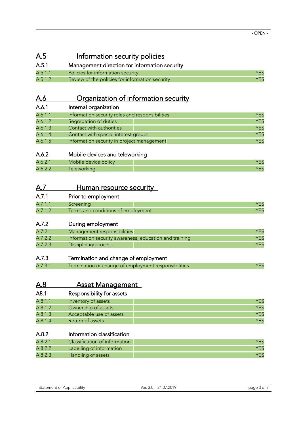#### A.5 **Information security policies** A.5.1 Management direction for information security A.5.1.1 Policies for information security A.5.1.1 Policies for information security A.5.1.2 Review of the policies for information security **A.5.1.2** A.5.1.2

# A.6 **Organization of information security**

| A.6.1   | Internal organization                           |            |
|---------|-------------------------------------------------|------------|
| A.6.1.1 | Information security roles and responsibilities | YES        |
| A.6.1.2 | Segregation of duties                           | <b>YES</b> |
| A.6.1.3 | Contact with authorities                        | <b>YES</b> |
| A.6.1.4 | Contact with special interest groups            | <b>YES</b> |
| A.6.1.5 | Information security in project management      | <b>YES</b> |

#### A.6.2 Mobile devices and teleworking

| $\Delta \Lambda$ | DOIICV<br>ANIAN |  |
|------------------|-----------------|--|
| $\Delta \Lambda$ |                 |  |

#### A.7 Human resource security

| A.7.1   | Prior to employment                |  |
|---------|------------------------------------|--|
| A.7.1.1 | Screening                          |  |
| A.7.1.2 | Terms and conditions of employment |  |

#### A.7.2 During employment

| A.7.2.1 | Management responsibilities                            |     |
|---------|--------------------------------------------------------|-----|
| A.7.2.2 | Information security awareness, education and training |     |
| A.7.2.3 | Disciplinary process                                   | YES |

#### A.7.3 Termination and change of employment

| A.7.3.1 | Termination or change of employment responsibilities |  |
|---------|------------------------------------------------------|--|

| A.8 | <b>Asset Management</b> |
|-----|-------------------------|
|     |                         |

#### A8.1 Responsibility for assets

| A.8.1.1 | Inventory of assets      |            |
|---------|--------------------------|------------|
| A.8.1.2 | Ownership of assets      | <b>YFS</b> |
| A.8.1.3 | Acceptable use of assets | YFS        |
| A.8.1.4 | Return of assets         |            |

#### A.8.2 Information classification

| A.8.2.1 | Classification of information |  |
|---------|-------------------------------|--|
| A.8.2.2 | Labelling of information      |  |
| A.8.2.3 | Handling of assets            |  |

| <b>Statement of Applicability</b> |  |
|-----------------------------------|--|
|-----------------------------------|--|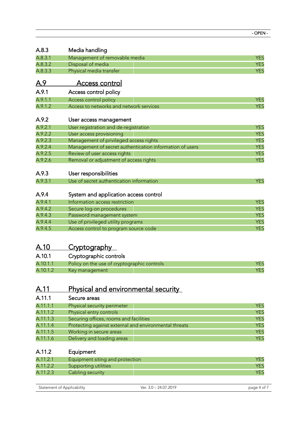| A.8.3      | Media handling                                           |            |
|------------|----------------------------------------------------------|------------|
| A.8.3.1    | Management of removable media                            | <b>YES</b> |
| A.8.3.2    | Disposal of media                                        | <b>YES</b> |
| A.8.3.3    | Physical media transfer                                  | <b>YES</b> |
| <u>A.9</u> | <b>Access control</b>                                    |            |
| A.9.1      | Access control policy                                    |            |
| A.9.1.1    | Access control policy                                    | <b>YES</b> |
| A.9.1.2    | Access to networks and network services                  | <b>YES</b> |
| A.9.2      | User access management                                   |            |
| A.9.2.1    | User registration and de-registration                    | <b>YES</b> |
| A.9.2.2    | User access provisioning                                 | <b>YES</b> |
| A.9.2.3    | Management of privileged access rights                   | <b>YES</b> |
| A.9.2.4    | Management of secret authentication information of users | <b>YES</b> |
| A.9.2.5    | Review of user access rights                             | <b>YES</b> |
| A.9.2.6    | Removal or adjustment of access rights                   | <b>YES</b> |
| A.9.3      | User responsibilities                                    |            |
| A.9.3.1    | Use of secret authentication information                 | <b>YES</b> |
| A.9.4      | System and application access control                    |            |
| A.9.4.1    | Information access restriction                           | <b>YES</b> |
| A.9.4.2    | Secure log-on procedures                                 | <b>YES</b> |
| A.9.4.3    | Password management system                               | <b>YES</b> |
| A.9.4.4    | Use of privileged utility programs                       | <b>YES</b> |

A.9.4.5 Access control to program source code A.9.4.5 Access control to program source code

# A.10 Cryptography

| A.10.1   | Cryptographic controls                      |  |
|----------|---------------------------------------------|--|
| A.10.1.1 | Policy on the use of cryptographic controls |  |
| A.10.1.2 | Key management                              |  |

# A.11 Physical and environmental security

| A.11.1   | Secure areas                                          |            |
|----------|-------------------------------------------------------|------------|
| A.11.1.1 | Physical security perimeter                           | <b>YES</b> |
| A.11.1.2 | Physical entry controls                               | <b>YES</b> |
| A.11.1.3 | Securing offices, rooms and facilities                | <b>YES</b> |
| A.11.1.4 | Protecting against external and environmental threats | <b>YES</b> |
| A.11.1.5 | Working in secure areas                               | <b>YES</b> |
| A.11.1.6 | Delivery and loading areas                            | <b>YES</b> |

# A.11.2 Equipment

| A.11.2.1 | Equipment siting and protection |  |
|----------|---------------------------------|--|
| A.11.2.2 | Supporting utilities            |  |
| A.11.2.3 | Cabling security                |  |

| Statement of Applicability | 24.07.2019<br>Ver. 3.0 · | nage 4 |
|----------------------------|--------------------------|--------|
|                            |                          |        |

- OPEN -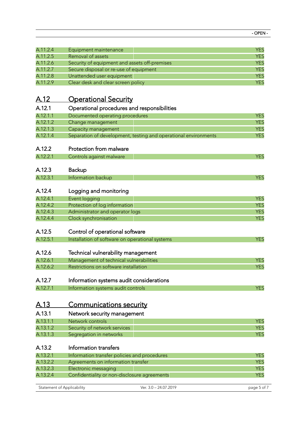| I |  |
|---|--|
|---|--|

| A.11.2.4    | Equipment maintenance                                           | <b>YES</b>  |
|-------------|-----------------------------------------------------------------|-------------|
| A.11.2.5    | Removal of assets                                               | <b>YES</b>  |
| A.11.2.6    | Security of equipment and assets off-premises                   | <b>YES</b>  |
| A.11.2.7    | Secure disposal or re-use of equipment                          | <b>YES</b>  |
| A.11.2.8    | Unattended user equipment                                       | <b>YES</b>  |
| A.11.2.9    | Clear desk and clear screen policy                              | <b>YES</b>  |
|             |                                                                 |             |
| <u>A.12</u> | <b>Operational Security</b>                                     |             |
| A.12.1      | Operational procedures and responsibilities                     |             |
| A.12.1.1    | Documented operating procedures                                 | <b>YES</b>  |
| A.12.1.2    | Change management                                               | <b>YES</b>  |
| A.12.1.3    | Capacity management                                             | <b>YES</b>  |
| A.12.1.4    | Separation of development, testing and operational environments | <b>YES</b>  |
| A.12.2      | Protection from malware                                         |             |
| A.12.2.1    | Controls against malware                                        | <b>YES</b>  |
|             |                                                                 |             |
| A.12.3      | <b>Backup</b>                                                   |             |
| A.12.3.1    | Information backup                                              | <b>YES</b>  |
|             |                                                                 |             |
| A.12.4      | Logging and monitoring                                          |             |
| A.12.4.1    | Event logging                                                   | <b>YES</b>  |
| A.12.4.2    | Protection of log information                                   | <b>YES</b>  |
| A.12.4.3    | Administrator and operator logs                                 | <b>YES</b>  |
| A.12.4.4    | Clock synchronisation                                           | <b>YES</b>  |
|             |                                                                 |             |
| A.12.5      | Control of operational software                                 |             |
| A.12.5.1    | Installation of software on operational systems                 | <b>YES</b>  |
| A.12.6      | Technical vulnerability management                              |             |
| A.12.6.1    | Management of technical vulnerabilities                         | <b>YES</b>  |
| A.12.6.2    | Restrictions on software installation                           | <b>YES</b>  |
|             |                                                                 |             |
| A.12.7      | Information systems audit considerations                        |             |
| A.12.7.1    | Information systems audit controls                              | <b>YES</b>  |
|             |                                                                 |             |
| A.13        | <u>Communications security</u>                                  |             |
| A.13.1      | Network security management                                     |             |
| A.13.1.1    | Network controls                                                | <b>YES</b>  |
| A.13.1.2    | Security of network services                                    | <b>YES</b>  |
| A.13.1.3    | Segregation in networks                                         | <b>YES</b>  |
|             |                                                                 |             |
| A.13.2      | Information transfers                                           |             |
| A.13.2.1    | Information transfer policies and procedures                    | <b>YES</b>  |
| A.13.2.2    | Agreements on information transfer                              | <b>YES</b>  |
| A.13.2.3    | Electronic messaging                                            | <b>YES</b>  |
| A.13.2.4    | Confidentiality or non-disclosure agreements                    | <b>YES</b>  |
|             | Statement of Applicability<br>Ver. 3.0 - 24.07.2019             | page 5 of 7 |
|             |                                                                 |             |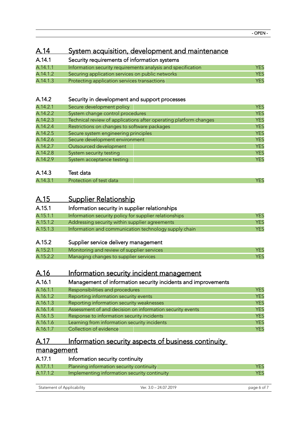## A.14 System acquisition, development and maintenance

| A.14.1   | Security requirements of information systems                 |            |
|----------|--------------------------------------------------------------|------------|
| A.14.1.1 | Information security requirements analysis and specification | YES        |
| A.14.1.2 | Securing application services on public networks             | <b>YES</b> |
| A.14.1.3 | Protecting application services transactions                 | YES        |

#### A.14.2 Security in development and support processes

| A.14.2.1 | Secure development policy                                         | <b>YES</b> |
|----------|-------------------------------------------------------------------|------------|
| A.14.2.2 | System change control procedures                                  | <b>YES</b> |
| A.14.2.3 | Technical review of applications after operating platform changes | <b>YES</b> |
| A.14.2.4 | Restrictions on changes to software packages                      | <b>YES</b> |
| A.14.2.5 | Secure system engineering principles                              | <b>YES</b> |
| A.14.2.6 | Secure development environment                                    | <b>YES</b> |
| A.14.2.7 | Outsourced development                                            | <b>YES</b> |
| A.14.2.8 | System security testing                                           | <b>YES</b> |
| A.14.2.9 | System acceptance testing                                         | <b>YES</b> |

#### A.14.3 Test data

| A.14.3. | Protection of test data | v |
|---------|-------------------------|---|

# A.15 Supplier Relationship

| A.15.1   | Information security in supplier relationships         |     |
|----------|--------------------------------------------------------|-----|
| A.15.1.1 | Information security policy for supplier relationships | YES |

| A. IJ. I. I | importuation security policy for supplier relationships | د ⊐ ا      |
|-------------|---------------------------------------------------------|------------|
| A.15.1.2    | Addressing security within supplier agreements          | <b>YES</b> |
| A.15.1.3    | Information and communication technology supply chain   | <b>YES</b> |

#### A.15.2 Supplier service delivery management

| A.15.2.1 | Monitoring and review of supplier services |  |
|----------|--------------------------------------------|--|
| A.15.2.2 | Managing changes to supplier services      |  |

### A.16 Information security incident management

#### A.16.1 Management of information security incidents and improvements

| A.16.1.1 | Responsibilities and procedures                           | <b>YES</b> |
|----------|-----------------------------------------------------------|------------|
| A.16.1.2 | Reporting information security events                     | <b>YES</b> |
| A.16.1.3 | Reporting information security weaknesses                 | <b>YES</b> |
| A.16.1.4 | Assessment of and decision on information security events | <b>YES</b> |
| A.16.1.5 | Response to information security incidents                | <b>YES</b> |
| A.16.1.6 | Learning from information security incidents              | <b>YES</b> |
| A.16.1.7 | Collection of evidence                                    | <b>YES</b> |

# A.17 Information security aspects of business continuity

#### management

| A.17.1   | Information security continuity              |     |
|----------|----------------------------------------------|-----|
| A.17.1.1 | Planning information security continuity     | YES |
| A.17.1.2 | Implementing information security continuity | YES |